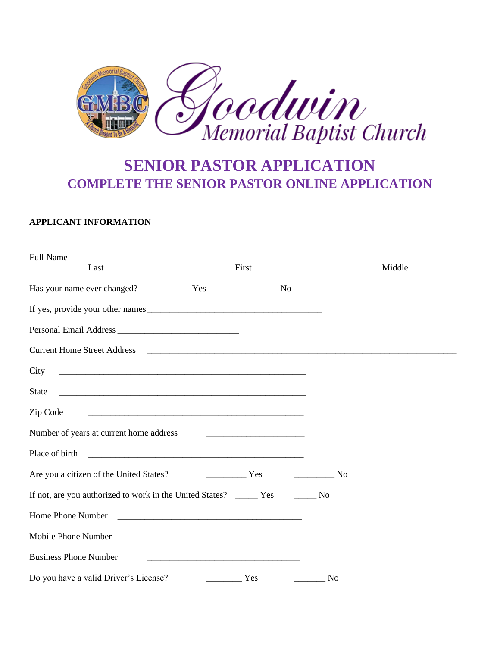

# **SENIOR PASTOR APPLICATION COMPLETE THE SENIOR PASTOR ONLINE APPLICATION**

## **APPLICANT INFORMATION**

| Last                                                                                                                             | First                                                     |                | Middle |  |
|----------------------------------------------------------------------------------------------------------------------------------|-----------------------------------------------------------|----------------|--------|--|
|                                                                                                                                  | $\_$ No                                                   |                |        |  |
|                                                                                                                                  |                                                           |                |        |  |
|                                                                                                                                  |                                                           |                |        |  |
|                                                                                                                                  |                                                           |                |        |  |
| City                                                                                                                             |                                                           |                |        |  |
| State                                                                                                                            |                                                           |                |        |  |
| Zip Code<br><u> 2000 - Jan James James James James James James James James James James James James James James James James J</u> |                                                           |                |        |  |
|                                                                                                                                  |                                                           |                |        |  |
|                                                                                                                                  |                                                           |                |        |  |
| Are you a citizen of the United States? The Manuson Mess Contains a Test of the United States?                                   |                                                           | No             |        |  |
|                                                                                                                                  |                                                           |                |        |  |
|                                                                                                                                  |                                                           |                |        |  |
|                                                                                                                                  |                                                           |                |        |  |
| <b>Business Phone Number</b>                                                                                                     | <u> 1980 - John Stein, Amerikaansk politiker († 1901)</u> |                |        |  |
| Do you have a valid Driver's License?                                                                                            | Yes                                                       | N <sub>0</sub> |        |  |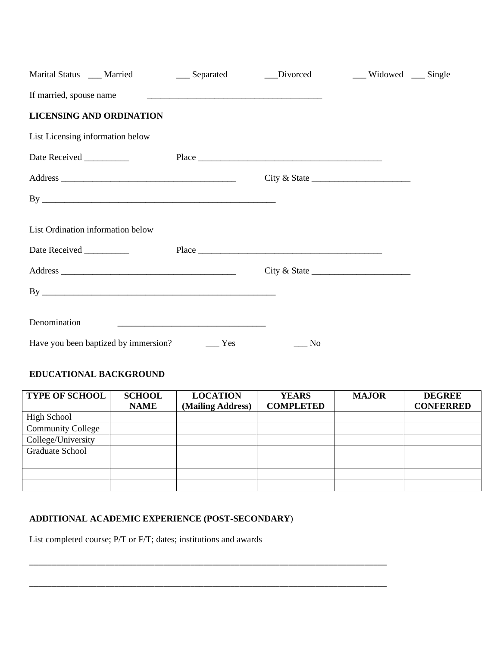|                                   |                                                                                                                                                                                                                                      | Marital Status ____ Married _______ ____ Separated ______ Divorced | __ Widowed __ Single |  |
|-----------------------------------|--------------------------------------------------------------------------------------------------------------------------------------------------------------------------------------------------------------------------------------|--------------------------------------------------------------------|----------------------|--|
| If married, spouse name           | <u> 1989 - Johann Stoff, deutscher Stoff, der Stoff, der Stoff, der Stoff, der Stoff, der Stoff, der Stoff, der S</u>                                                                                                                |                                                                    |                      |  |
| <b>LICENSING AND ORDINATION</b>   |                                                                                                                                                                                                                                      |                                                                    |                      |  |
| List Licensing information below  |                                                                                                                                                                                                                                      |                                                                    |                      |  |
|                                   |                                                                                                                                                                                                                                      |                                                                    |                      |  |
|                                   |                                                                                                                                                                                                                                      | City & State                                                       |                      |  |
|                                   |                                                                                                                                                                                                                                      |                                                                    |                      |  |
| List Ordination information below |                                                                                                                                                                                                                                      |                                                                    |                      |  |
|                                   |                                                                                                                                                                                                                                      |                                                                    |                      |  |
|                                   |                                                                                                                                                                                                                                      | City & State                                                       |                      |  |
|                                   |                                                                                                                                                                                                                                      |                                                                    |                      |  |
| Denomination                      | <u> 1999 - Johann Harry Harry Harry Harry Harry Harry Harry Harry Harry Harry Harry Harry Harry Harry Harry Harry Harry Harry Harry Harry Harry Harry Harry Harry Harry Harry Harry Harry Harry Harry Harry Harry Harry Harry Ha</u> |                                                                    |                      |  |
|                                   |                                                                                                                                                                                                                                      | No                                                                 |                      |  |

# **EDUCATIONAL BACKGROUND**

| <b>TYPE OF SCHOOL</b>    | <b>SCHOOL</b> | <b>LOCATION</b>   | <b>YEARS</b>     | <b>MAJOR</b> | <b>DEGREE</b>    |
|--------------------------|---------------|-------------------|------------------|--------------|------------------|
|                          | <b>NAME</b>   | (Mailing Address) | <b>COMPLETED</b> |              | <b>CONFERRED</b> |
| <b>High School</b>       |               |                   |                  |              |                  |
| <b>Community College</b> |               |                   |                  |              |                  |
| College/University       |               |                   |                  |              |                  |
| <b>Graduate School</b>   |               |                   |                  |              |                  |
|                          |               |                   |                  |              |                  |
|                          |               |                   |                  |              |                  |
|                          |               |                   |                  |              |                  |

# **ADDITIONAL ACADEMIC EXPERIENCE (POST-SECONDARY**)

\_\_\_\_\_\_\_\_\_\_\_\_\_\_\_\_\_\_\_\_\_\_\_\_\_\_\_\_\_\_\_\_\_\_\_\_\_\_\_\_\_\_\_\_\_\_\_\_\_\_\_\_\_\_\_\_\_\_\_\_\_\_\_\_\_\_\_\_\_\_\_\_\_\_\_\_\_\_\_\_

\_\_\_\_\_\_\_\_\_\_\_\_\_\_\_\_\_\_\_\_\_\_\_\_\_\_\_\_\_\_\_\_\_\_\_\_\_\_\_\_\_\_\_\_\_\_\_\_\_\_\_\_\_\_\_\_\_\_\_\_\_\_\_\_\_\_\_\_\_\_\_\_\_\_\_\_\_\_\_\_

List completed course; P/T or F/T; dates; institutions and awards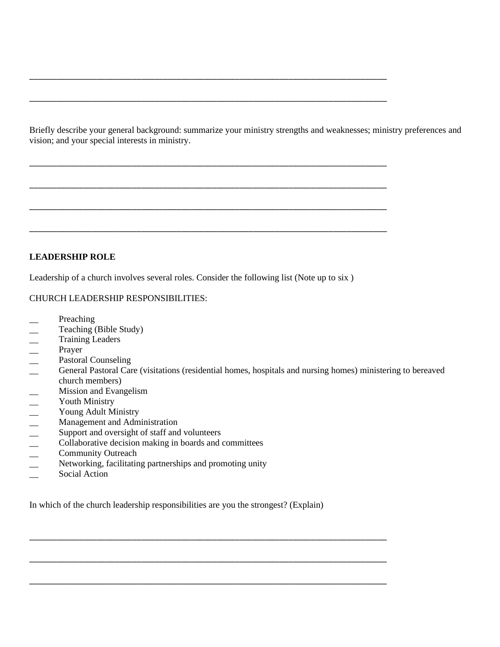Briefly describe your general background: summarize your ministry strengths and weaknesses; ministry preferences and vision; and your special interests in ministry.

\_\_\_\_\_\_\_\_\_\_\_\_\_\_\_\_\_\_\_\_\_\_\_\_\_\_\_\_\_\_\_\_\_\_\_\_\_\_\_\_\_\_\_\_\_\_\_\_\_\_\_\_\_\_\_\_\_\_\_\_\_\_\_\_\_\_\_\_\_\_\_\_\_\_\_\_\_\_\_\_

\_\_\_\_\_\_\_\_\_\_\_\_\_\_\_\_\_\_\_\_\_\_\_\_\_\_\_\_\_\_\_\_\_\_\_\_\_\_\_\_\_\_\_\_\_\_\_\_\_\_\_\_\_\_\_\_\_\_\_\_\_\_\_\_\_\_\_\_\_\_\_\_\_\_\_\_\_\_\_\_

\_\_\_\_\_\_\_\_\_\_\_\_\_\_\_\_\_\_\_\_\_\_\_\_\_\_\_\_\_\_\_\_\_\_\_\_\_\_\_\_\_\_\_\_\_\_\_\_\_\_\_\_\_\_\_\_\_\_\_\_\_\_\_\_\_\_\_\_\_\_\_\_\_\_\_\_\_\_\_\_

\_\_\_\_\_\_\_\_\_\_\_\_\_\_\_\_\_\_\_\_\_\_\_\_\_\_\_\_\_\_\_\_\_\_\_\_\_\_\_\_\_\_\_\_\_\_\_\_\_\_\_\_\_\_\_\_\_\_\_\_\_\_\_\_\_\_\_\_\_\_\_\_\_\_\_\_\_\_\_\_

\_\_\_\_\_\_\_\_\_\_\_\_\_\_\_\_\_\_\_\_\_\_\_\_\_\_\_\_\_\_\_\_\_\_\_\_\_\_\_\_\_\_\_\_\_\_\_\_\_\_\_\_\_\_\_\_\_\_\_\_\_\_\_\_\_\_\_\_\_\_\_\_\_\_\_\_\_\_\_\_

\_\_\_\_\_\_\_\_\_\_\_\_\_\_\_\_\_\_\_\_\_\_\_\_\_\_\_\_\_\_\_\_\_\_\_\_\_\_\_\_\_\_\_\_\_\_\_\_\_\_\_\_\_\_\_\_\_\_\_\_\_\_\_\_\_\_\_\_\_\_\_\_\_\_\_\_\_\_\_\_

### **LEADERSHIP ROLE**

Leadership of a church involves several roles. Consider the following list (Note up to six )

#### CHURCH LEADERSHIP RESPONSIBILITIES:

- \_\_ Preaching
- Teaching (Bible Study)
- Training Leaders<br>— Prayer<br>— Pesteral Counceli
- \_\_ Prayer
- 
- Pastoral Counseling<br>
 General Pastoral Car<br>
church members)<br>
 Mission and Evange<br>
 Youth Ministry<br>
 Young Adult Ministr<br>
 Management and Ad<br>
 Support and oversigh<br>
 Collaborative decisic<br>
 Community Outreac<br>
 Ne General Pastoral Care (visitations (residential homes, hospitals and nursing homes) ministering to bereaved church members)
- Mission and Evangelism
- Youth Ministry
- Young Adult Ministry
- Management and Administration
- Support and oversight of staff and volunteers
- \_\_ Collaborative decision making in boards and committees
- Community Outreach
- Networking, facilitating partnerships and promoting unity
- \_\_ Social Action

In which of the church leadership responsibilities are you the strongest? (Explain)

\_\_\_\_\_\_\_\_\_\_\_\_\_\_\_\_\_\_\_\_\_\_\_\_\_\_\_\_\_\_\_\_\_\_\_\_\_\_\_\_\_\_\_\_\_\_\_\_\_\_\_\_\_\_\_\_\_\_\_\_\_\_\_\_\_\_\_\_\_\_\_\_\_\_\_\_\_\_\_\_

\_\_\_\_\_\_\_\_\_\_\_\_\_\_\_\_\_\_\_\_\_\_\_\_\_\_\_\_\_\_\_\_\_\_\_\_\_\_\_\_\_\_\_\_\_\_\_\_\_\_\_\_\_\_\_\_\_\_\_\_\_\_\_\_\_\_\_\_\_\_\_\_\_\_\_\_\_\_\_\_

\_\_\_\_\_\_\_\_\_\_\_\_\_\_\_\_\_\_\_\_\_\_\_\_\_\_\_\_\_\_\_\_\_\_\_\_\_\_\_\_\_\_\_\_\_\_\_\_\_\_\_\_\_\_\_\_\_\_\_\_\_\_\_\_\_\_\_\_\_\_\_\_\_\_\_\_\_\_\_\_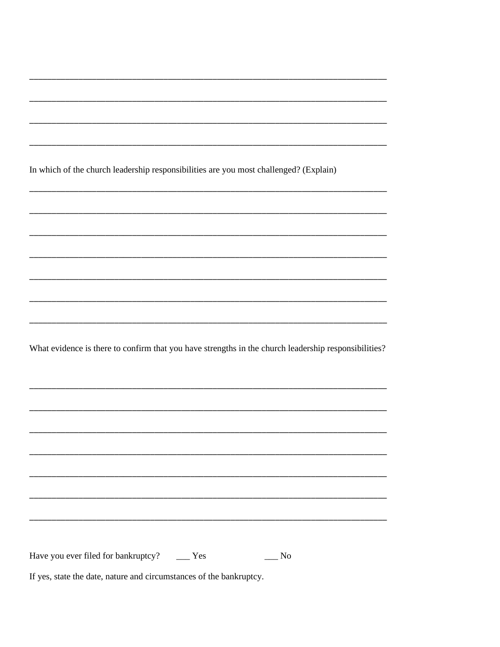|                                                |  | In which of the church leadership responsibilities are you most challenged? (Explain)                |  |
|------------------------------------------------|--|------------------------------------------------------------------------------------------------------|--|
|                                                |  |                                                                                                      |  |
|                                                |  |                                                                                                      |  |
|                                                |  |                                                                                                      |  |
|                                                |  |                                                                                                      |  |
|                                                |  |                                                                                                      |  |
|                                                |  |                                                                                                      |  |
|                                                |  |                                                                                                      |  |
|                                                |  | What evidence is there to confirm that you have strengths in the church leadership responsibilities? |  |
|                                                |  |                                                                                                      |  |
|                                                |  |                                                                                                      |  |
|                                                |  |                                                                                                      |  |
|                                                |  |                                                                                                      |  |
|                                                |  |                                                                                                      |  |
|                                                |  |                                                                                                      |  |
|                                                |  |                                                                                                      |  |
|                                                |  |                                                                                                      |  |
|                                                |  |                                                                                                      |  |
| Have you ever filed for bankruptcy? ______ Yes |  | No                                                                                                   |  |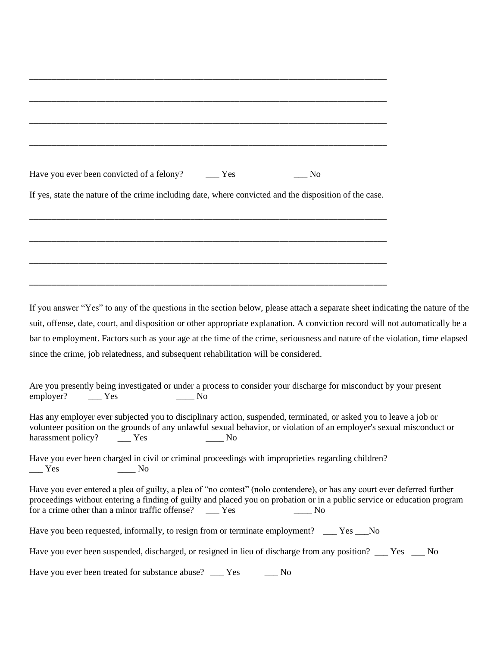| Have you ever been convicted of a felony?<br>$\equiv$ Yes<br>$\equiv$ No                                                                                                                                                                                                                |  |
|-----------------------------------------------------------------------------------------------------------------------------------------------------------------------------------------------------------------------------------------------------------------------------------------|--|
| If yes, state the nature of the crime including date, where convicted and the disposition of the case.                                                                                                                                                                                  |  |
|                                                                                                                                                                                                                                                                                         |  |
|                                                                                                                                                                                                                                                                                         |  |
|                                                                                                                                                                                                                                                                                         |  |
|                                                                                                                                                                                                                                                                                         |  |
|                                                                                                                                                                                                                                                                                         |  |
|                                                                                                                                                                                                                                                                                         |  |
| If you answer "Yes" to any of the questions in the section below, please attach a separate sheet indicating the nature of the                                                                                                                                                           |  |
| suit, offense, date, court, and disposition or other appropriate explanation. A conviction record will not automatically be a                                                                                                                                                           |  |
| bar to employment. Factors such as your age at the time of the crime, seriousness and nature of the violation, time elapsed                                                                                                                                                             |  |
|                                                                                                                                                                                                                                                                                         |  |
| since the crime, job relatedness, and subsequent rehabilitation will be considered.                                                                                                                                                                                                     |  |
| Are you presently being investigated or under a process to consider your discharge for misconduct by your present                                                                                                                                                                       |  |
| employer?<br>$\equiv$ Yes<br>$\frac{1}{\sqrt{1-\frac{1}{2}}}$ No                                                                                                                                                                                                                        |  |
| Has any employer ever subjected you to disciplinary action, suspended, terminated, or asked you to leave a job or<br>volunteer position on the grounds of any unlawful sexual behavior, or violation of an employer's sexual misconduct or<br>harassment policy? ______ Yes ________ No |  |
| Have you ever been charged in civil or criminal proceedings with improprieties regarding children?                                                                                                                                                                                      |  |
| $\overline{N}$<br>$\equiv$ Yes                                                                                                                                                                                                                                                          |  |
| Have you ever entered a plea of guilty, a plea of "no contest" (nolo contendere), or has any court ever deferred further<br>proceedings without entering a finding of guilty and placed you on probation or in a public service or education program                                    |  |

Have you been requested, informally, to resign from or terminate employment? \_\_\_ Yes \_\_No

Have you ever been suspended, discharged, or resigned in lieu of discharge from any position? \_\_\_ Yes \_\_\_ No

Have you ever been treated for substance abuse? \_\_\_ Yes \_\_\_ No

for a crime other than a minor traffic offense? \_\_\_\_ Yes \_\_\_\_\_\_ No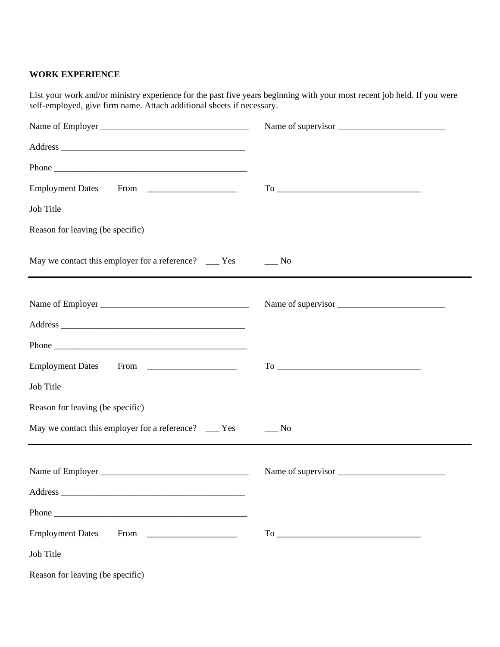#### **WORK EXPERIENCE**

List your work and/or ministry experience for the past five years beginning with your most recent job held. If you were self-employed, give firm name. Attach additional sheets if necessary.

|                                                                                                                                                                                           | Name of supervisor                                                                                                                                                                                                                                                                                                                                                                                                                                                                  |
|-------------------------------------------------------------------------------------------------------------------------------------------------------------------------------------------|-------------------------------------------------------------------------------------------------------------------------------------------------------------------------------------------------------------------------------------------------------------------------------------------------------------------------------------------------------------------------------------------------------------------------------------------------------------------------------------|
|                                                                                                                                                                                           |                                                                                                                                                                                                                                                                                                                                                                                                                                                                                     |
|                                                                                                                                                                                           |                                                                                                                                                                                                                                                                                                                                                                                                                                                                                     |
|                                                                                                                                                                                           | $To \begin{tabular}{@{}c@{}} \hline \multicolumn{3}{c }{\textbf{To}} & \multicolumn{3}{c }{\textbf{To}} \\ \hline \multicolumn{3}{c }{\textbf{To}} & \multicolumn{3}{c }{\textbf{To}} \\ \hline \multicolumn{3}{c }{\textbf{To}} & \multicolumn{3}{c }{\textbf{To}} \\ \hline \multicolumn{3}{c }{\textbf{To}} & \multicolumn{3}{c }{\textbf{To}} \\ \hline \multicolumn{3}{c }{\textbf{To}} & \multicolumn{3}{c }{\textbf{To}} \\ \hline \multicolumn{3}{c }{\textbf{To}} & \mult$ |
| Job Title                                                                                                                                                                                 |                                                                                                                                                                                                                                                                                                                                                                                                                                                                                     |
| Reason for leaving (be specific)                                                                                                                                                          |                                                                                                                                                                                                                                                                                                                                                                                                                                                                                     |
| May we contact this employer for a reference? ____ Yes ______ No<br><u> 1989 - Johann Harry Harry Harry Harry Harry Harry Harry Harry Harry Harry Harry Harry Harry Harry Harry Harry</u> |                                                                                                                                                                                                                                                                                                                                                                                                                                                                                     |
|                                                                                                                                                                                           | Name of supervisor                                                                                                                                                                                                                                                                                                                                                                                                                                                                  |
|                                                                                                                                                                                           |                                                                                                                                                                                                                                                                                                                                                                                                                                                                                     |
|                                                                                                                                                                                           |                                                                                                                                                                                                                                                                                                                                                                                                                                                                                     |
|                                                                                                                                                                                           | $To \begin{tabular}{ c c c } \hline \multicolumn{3}{ c }{\textbf{To}} & \multicolumn{3}{ c }{\textbf{To}}\\ \hline \multicolumn{3}{ c }{\textbf{To}} & \multicolumn{3}{ c }{\textbf{To}}\\ \hline \multicolumn{3}{ c }{\textbf{To}} & \multicolumn{3}{ c }{\textbf{To}}\\ \hline \multicolumn{3}{ c }{\textbf{To}} & \multicolumn{3}{ c }{\textbf{To}}\\ \hline \multicolumn{3}{ c }{\textbf{To}} & \multicolumn{3}{ c }{\textbf{To}}\\ \hline \multicolumn{3}{$                    |
| Job Title                                                                                                                                                                                 |                                                                                                                                                                                                                                                                                                                                                                                                                                                                                     |
| Reason for leaving (be specific)                                                                                                                                                          |                                                                                                                                                                                                                                                                                                                                                                                                                                                                                     |
| May we contact this employer for a reference? ____ Yes ______ No                                                                                                                          |                                                                                                                                                                                                                                                                                                                                                                                                                                                                                     |
|                                                                                                                                                                                           | Name of supervisor                                                                                                                                                                                                                                                                                                                                                                                                                                                                  |
|                                                                                                                                                                                           |                                                                                                                                                                                                                                                                                                                                                                                                                                                                                     |
|                                                                                                                                                                                           |                                                                                                                                                                                                                                                                                                                                                                                                                                                                                     |
| <b>Employment Dates</b>                                                                                                                                                                   | $To \underline{\hspace{1cm}}$                                                                                                                                                                                                                                                                                                                                                                                                                                                       |
| Job Title                                                                                                                                                                                 |                                                                                                                                                                                                                                                                                                                                                                                                                                                                                     |
| Reason for leaving (be specific)                                                                                                                                                          |                                                                                                                                                                                                                                                                                                                                                                                                                                                                                     |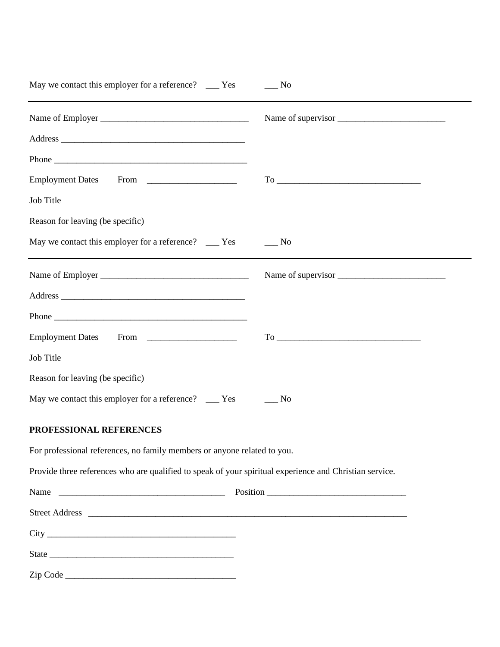| May we contact this employer for a reference? _____ Yes                                                 | No.       |
|---------------------------------------------------------------------------------------------------------|-----------|
|                                                                                                         |           |
|                                                                                                         |           |
|                                                                                                         |           |
|                                                                                                         |           |
| Job Title                                                                                               |           |
| Reason for leaving (be specific)                                                                        |           |
| May we contact this employer for a reference? ____ Yes                                                  | No        |
|                                                                                                         |           |
|                                                                                                         |           |
|                                                                                                         |           |
|                                                                                                         |           |
| Job Title                                                                                               |           |
| Reason for leaving (be specific)                                                                        |           |
| May we contact this employer for a reference? _____ Yes                                                 | $\_\_$ No |
| PROFESSIONAL REFERENCES                                                                                 |           |
| For professional references, no family members or anyone related to you.                                |           |
| Provide three references who are qualified to speak of your spiritual experience and Christian service. |           |
|                                                                                                         |           |
|                                                                                                         |           |
|                                                                                                         |           |
|                                                                                                         |           |
| Zip Code                                                                                                |           |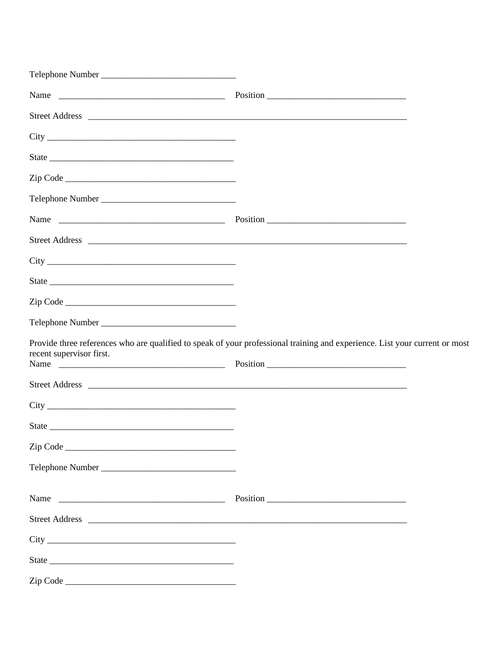| Telephone Number         |                                                                                                                             |
|--------------------------|-----------------------------------------------------------------------------------------------------------------------------|
|                          |                                                                                                                             |
|                          |                                                                                                                             |
|                          |                                                                                                                             |
|                          |                                                                                                                             |
|                          |                                                                                                                             |
|                          |                                                                                                                             |
|                          |                                                                                                                             |
|                          |                                                                                                                             |
|                          |                                                                                                                             |
|                          |                                                                                                                             |
|                          |                                                                                                                             |
|                          |                                                                                                                             |
| recent supervisor first. | Provide three references who are qualified to speak of your professional training and experience. List your current or most |
|                          |                                                                                                                             |
|                          |                                                                                                                             |
|                          |                                                                                                                             |
|                          |                                                                                                                             |
| Telephone Number         |                                                                                                                             |
|                          |                                                                                                                             |
|                          |                                                                                                                             |
|                          |                                                                                                                             |
|                          |                                                                                                                             |
|                          |                                                                                                                             |
|                          |                                                                                                                             |